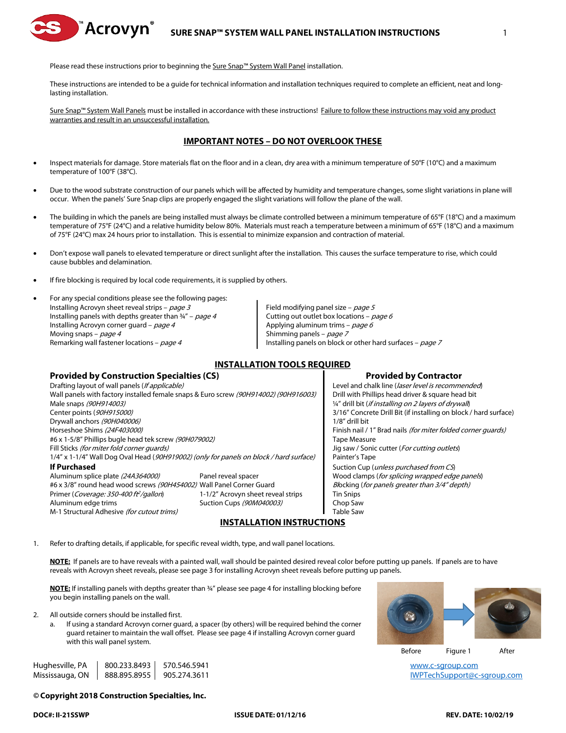

Please read these instructions prior to beginning the Sure Snap™ System Wall Panel installation.

These instructions are intended to be a guide for technical information and installation techniques required to complete an efficient, neat and longlasting installation.

Sure Snap™ System Wall Panels must be installed in accordance with these instructions! Failure to follow these instructions may void any product warranties and result in an unsuccessful installation.

# **IMPORTANT NOTES – DO NOT OVERLOOK THESE**

- Inspect materials for damage. Store materials flat on the floor and in a clean, dry area with a minimum temperature of 50°F (10°C) and a maximum temperature of 100°F (38°C).
- Due to the wood substrate construction of our panels which will be affected by humidity and temperature changes, some slight variations in plane will occur. When the panels' Sure Snap clips are properly engaged the slight variations will follow the plane of the wall.
- The building in which the panels are being installed must always be climate controlled between a minimum temperature of 65°F (18°C) and a maximum temperature of 75°F (24°C) and a relative humidity below 80%. Materials must reach a temperature between a minimum of 65°F (18°C) and a maximum of 75°F (24°C) max 24 hours prior to installation. This is essential to minimize expansion and contraction of material.
- Don't expose wall panels to elevated temperature or direct sunlight after the installation. This causes the surface temperature to rise, which could cause bubbles and delamination.
- If fire blocking is required by local code requirements, it is supplied by others.

• For any special conditions please see the following pages: Installing Acrovyn sheet reveal strips –  $page 3$  Field modifying panel size – page 5 Installing panels with depths greater than  $\frac{3}{4}$ " – page 4 Cutting out outlet box locations – page 6 Installing Acrovyn corner guard – *page 4* Applying aluminum trims – *page 6* Moving snaps – *page 4* Shimming panels – *page 7* Shimming panels – *page 7* 

Remarking wall fastener locations – page 4 Installing panels on block or other hard surfaces – page 7

## **INSTALLATION TOOLS REQUIRED**

## **Provided by Construction Specialties (CS) Provided by Contractor**

Drafting layout of wall panels (*If applicable*) Level and chalk line (*laser level is recommended*) Wall panels with factory installed female snaps & Euro screw (90H914002) (90H916003) | Drill with Phillips head driver & square head bit Male snaps (90H914003) (Male snaps (90H914003) (Male snaps (90H914003) Center points (90H915000) Solution 3/16" Concrete Drill Bit (if installing on block / hard surface) Drywall anchors (90H040006) 1/8" drill bit Horseshoe Shims (24F403000) Finish nail / 1" Brad nails (for miter folded corner guards) #6 x 1-5/8" Phillips bugle head tek screw (90H079002) Tape Measure Fill Sticks (for miter fold corner guards) The State of the State of Sonic Cutter (For cutting outlets) 1/4" x 1-1/4" Wall Dog Oval Head (90H919002) (only for panels on block / hard surface) Painter's Tape **If Purchased If Purchased Suction Cup (unless purchased from CS)** Aluminum splice plate (24A364000) Panel reveal spacer Wood clamps (for splicing wrapped edge panels) #6 x 3/8" round head wood screws (90H454002) Wall Panel Corner Guard Blocking (for panels greater than 3/4" depth) Primer (Coverage: 350-400 ft<sup>2</sup>/gallon) 1-1/2" Acrovyn sheet reveal strips Tin Snips Aluminum edge trims **Suction Cups** (90M040003) Chop Saw M-1 Structural Adhesive *(for cutout trims)* Table Saw

# **INSTALLATION INSTRUCTIONS**

1. Refer to drafting details, if applicable, for specific reveal width, type, and wall panel locations.

**NOTE:** If panels are to have reveals with a painted wall, wall should be painted desired reveal color before putting up panels. If panels are to have reveals with Acrovyn sheet reveals, please see page 3 for installing Acrovyn sheet reveals before putting up panels.

**NOTE:** If installing panels with depths greater than ¾" please see page 4 for installing blocking before you begin installing panels on the wall.

- 2. All outside corners should be installed first.
	- If using a standard Acrovyn corner guard, a spacer (by others) will be required behind the corner guard retainer to maintain the wall offset. Please see page 4 if installing Acrovyn corner guard with this wall panel system.

Hughesville, PA  $\parallel$  800.233.8493  $\parallel$  570.546.5941 example to the state of the state of the state of the state of the state of the state of the state of the state of the state of the state of the state of the state of the Mississauga, ON | 888.895.8955 | 905.274.3611 ISBN 0-888-895-897-8000 PM CHARLEY MAGAZING ON BRACH AND BRACH AN

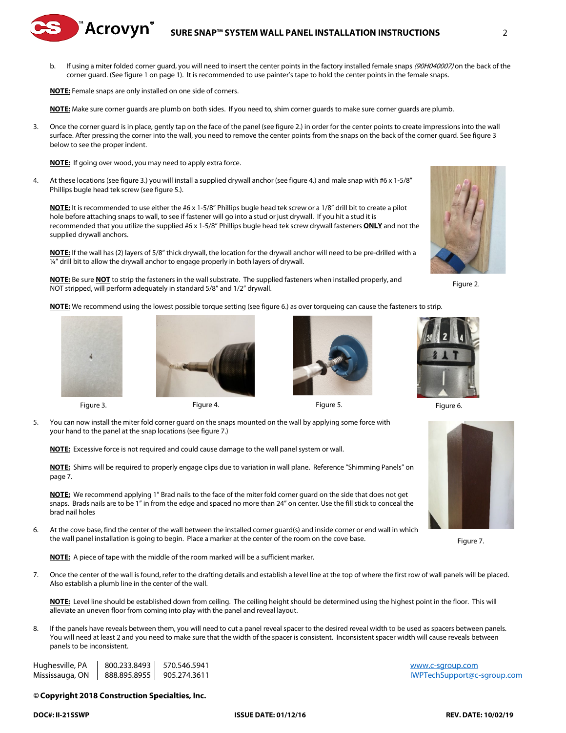# **SURE SNAP™ SYSTEM WALL PANEL INSTALLATION INSTRUCTIONS** 2

b. If using a miter folded corner quard, you will need to insert the center points in the factory installed female snaps (90H040007) on the back of the corner guard. (See figure 1 on page 1). It is recommended to use painter's tape to hold the center points in the female snaps.

**NOTE:** Female snaps are only installed on one side of corners.

D<sup>™</sup>Acrovyn®

**NOTE:** Make sure corner guards are plumb on both sides. If you need to, shim corner guards to make sure corner guards are plumb.

3. Once the corner guard is in place, gently tap on the face of the panel (see figure 2.) in order for the center points to create impressions into the wall surface. After pressing the corner into the wall, you need to remove the center points from the snaps on the back of the corner guard. See figure 3 below to see the proper indent.

**NOTE:** If going over wood, you may need to apply extra force.

4. At these locations (see figure 3.) you will install a supplied drywall anchor (see figure 4.) and male snap with #6 x 1-5/8" Phillips bugle head tek screw (see figure 5.).

**NOTE:** It is recommended to use either the #6 x 1-5/8" Phillips bugle head tek screw or a 1/8" drill bit to create a pilot hole before attaching snaps to wall, to see if fastener will go into a stud or just drywall. If you hit a stud it is recommended that you utilize the supplied #6 x 1-5/8" Phillips bugle head tek screw drywall fasteners **ONLY** and not the supplied drywall anchors.

**NOTE:** If the wall has (2) layers of 5/8" thick drywall, the location for the drywall anchor will need to be pre-drilled with a ¼" drill bit to allow the drywall anchor to engage properly in both layers of drywall.

**NOTE:** Be sure **NOT** to strip the fasteners in the wall substrate. The supplied fasteners when installed properly, and NOT stripped, will perform adequately in standard 5/8" and 1/2" drywall.

**NOTE:** We recommend using the lowest possible torque setting (see figure 6.) as over torqueing can cause the fasteners to strip.







**NOTE:** Excessive force is not required and could cause damage to the wall panel system or wall.

**NOTE:** Shims will be required to properly engage clips due to variation in wall plane. Reference "Shimming Panels" on page 7.

**NOTE:** We recommend applying 1" Brad nails to the face of the miter fold corner guard on the side that does not get snaps. Brads nails are to be 1" in from the edge and spaced no more than 24" on center. Use the fill stick to conceal the brad nail holes

6. At the cove base, find the center of the wall between the installed corner guard(s) and inside corner or end wall in which the wall panel installation is going to begin. Place a marker at the center of the room on the cove base.

**NOTE:** A piece of tape with the middle of the room marked will be a sufficient marker.

7. Once the center of the wall is found, refer to the drafting details and establish a level line at the top of where the first row of wall panels will be placed. Also establish a plumb line in the center of the wall.

**NOTE:** Level line should be established down from ceiling. The ceiling height should be determined using the highest point in the floor. This will alleviate an uneven floor from coming into play with the panel and reveal layout.

8. If the panels have reveals between them, you will need to cut a panel reveal spacer to the desired reveal width to be used as spacers between panels. You will need at least 2 and you need to make sure that the width of the spacer is consistent. Inconsistent spacer width will cause reveals between panels to be inconsistent.

Hughesville, PA  $\parallel$  800.233.8493  $\parallel$  570.546.5941 example to the state of the state of the state of the state of the state of the state of the state of the state of the state of the state of the state of the state of the Mississauga, ON | 888.895.8955 | 905.274.3611 ISBN 0-888-895-897-8000 PM CHARLEY MAGAZING ON BRACH AND BRACH AN

#### *©* **Copyright 2018 Construction Specialties, Inc.**





Figure 2.





Figure 7.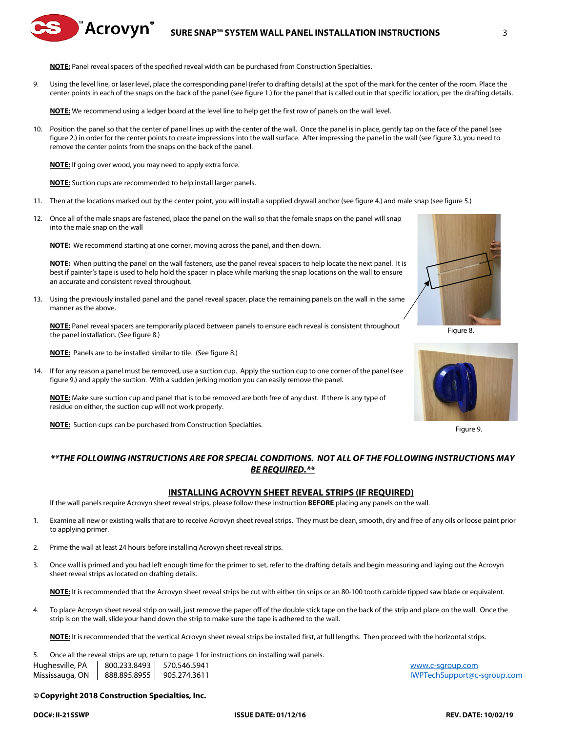# **SURE SNAP™ SYSTEM WALL PANEL INSTALLATION INSTRUCTIONS** 3

**NOTE:** Panel reveal spacers of the specified reveal width can be purchased from Construction Specialties.

9. Using the level line, or laser level, place the corresponding panel (refer to drafting details) at the spot of the mark for the center of the room. Place the center points in each of the snaps on the back of the panel (see figure 1.) for the panel that is called out in that specific location, per the drafting details.

**NOTE:** We recommend using a ledger board at the level line to help get the first row of panels on the wall level.

10. Position the panel so that the center of panel lines up with the center of the wall. Once the panel is in place, gently tap on the face of the panel (see figure 2.) in order for the center points to create impressions into the wall surface. After impressing the panel in the wall (see figure 3.), you need to remove the center points from the snaps on the back of the panel.

**NOTE:** If going over wood, you may need to apply extra force.

█ <sup>™</sup>Acrovyn ँ

**NOTE:** Suction cups are recommended to help install larger panels.

- 11. Then at the locations marked out by the center point, you will install a supplied drywall anchor (see figure 4.) and male snap (see figure 5.)
- 12. Once all of the male snaps are fastened, place the panel on the wall so that the female snaps on the panel will snap into the male snap on the wall

**NOTE:** We recommend starting at one corner, moving across the panel, and then down.

**NOTE:** When putting the panel on the wall fasteners, use the panel reveal spacers to help locate the next panel. It is best if painter's tape is used to help hold the spacer in place while marking the snap locations on the wall to ensure an accurate and consistent reveal throughout.

13. Using the previously installed panel and the panel reveal spacer, place the remaining panels on the wall in the same manner as the above.

**NOTE:** Panel reveal spacers are temporarily placed between panels to ensure each reveal is consistent throughout the panel installation. (See figure 8.)

**NOTE:** Panels are to be installed similar to tile. (See figure 8.)

14. If for any reason a panel must be removed, use a suction cup. Apply the suction cup to one corner of the panel (see figure 9.) and apply the suction. With a sudden jerking motion you can easily remove the panel.

**NOTE:** Make sure suction cup and panel that is to be removed are both free of any dust. If there is any type of residue on either, the suction cup will not work properly.

**NOTE:** Suction cups can be purchased from Construction Specialties.

Figure 8.



Figure 9.

# *\*\*THE FOLLOWING INSTRUCTIONS ARE FOR SPECIAL CONDITIONS. NOT ALL OF THE FOLLOWING INSTRUCTIONS MAY BE REQUIRED.\*\**

#### **INSTALLING ACROVYN SHEET REVEAL STRIPS (IF REQUIRED)**

If the wall panels require Acrovyn sheet reveal strips, please follow these instruction **BEFORE** placing any panels on the wall.

- 1. Examine all new or existing walls that are to receive Acrovyn sheet reveal strips. They must be clean, smooth, dry and free of any oils or loose paint prior to applying primer.
- 2. Prime the wall at least 24 hours before installing Acrovyn sheet reveal strips.
- 3. Once wall is primed and you had left enough time for the primer to set, refer to the drafting details and begin measuring and laying out the Acrovyn sheet reveal strips as located on drafting details.

**NOTE:** It is recommended that the Acrovyn sheet reveal strips be cut with either tin snips or an 80-100 tooth carbide tipped saw blade or equivalent.

4. To place Acrovyn sheet reveal strip on wall, just remove the paper off of the double stick tape on the back of the strip and place on the wall. Once the strip is on the wall, slide your hand down the strip to make sure the tape is adhered to the wall.

**NOTE:** It is recommended that the vertical Acrovyn sheet reveal strips be installed first, at full lengths. Then proceed with the horizontal strips.

Hughesville, PA  $\parallel$  800.233.8493  $\parallel$  570.546.5941 Mississauga, ON  $|$  888.895.8955 905.274.3611 300 and the state of the state of the MVPTechSupport@c-sgroup.com 5. Once all the reveal strips are up, return to page 1 for instructions on installing wall panels.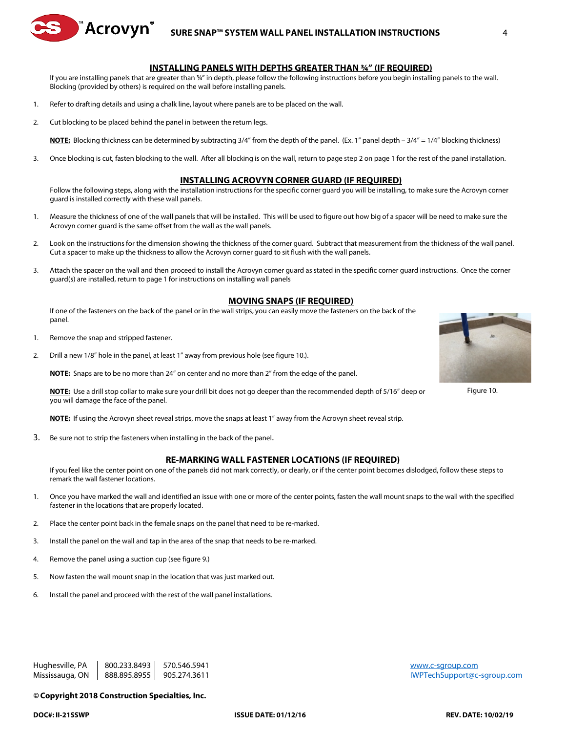

# **SURE SNAP™ SYSTEM WALL PANEL INSTALLATION INSTRUCTIONS** 4

#### **INSTALLING PANELS WITH DEPTHS GREATER THAN ¾" (IF REQUIRED)**

If you are installing panels that are greater than 34" in depth, please follow the following instructions before you begin installing panels to the wall. Blocking (provided by others) is required on the wall before installing panels.

- 1. Refer to drafting details and using a chalk line, layout where panels are to be placed on the wall.
- 2. Cut blocking to be placed behind the panel in between the return legs.

**NOTE:** Blocking thickness can be determined by subtracting 3/4" from the depth of the panel. (Ex. 1" panel depth – 3/4" = 1/4" blocking thickness)

3. Once blocking is cut, fasten blocking to the wall. After all blocking is on the wall, return to page step 2 on page 1 for the rest of the panel installation.

### **INSTALLING ACROVYN CORNER GUARD (IF REQUIRED)**

Follow the following steps, along with the installation instructions for the specific corner guard you will be installing, to make sure the Acrovyn corner guard is installed correctly with these wall panels.

- 1. Measure the thickness of one of the wall panels that will be installed. This will be used to figure out how big of a spacer will be need to make sure the Acrovyn corner guard is the same offset from the wall as the wall panels.
- 2. Look on the instructions for the dimension showing the thickness of the corner guard. Subtract that measurement from the thickness of the wall panel. Cut a spacer to make up the thickness to allow the Acrovyn corner guard to sit flush with the wall panels.
- 3. Attach the spacer on the wall and then proceed to install the Acrovyn corner guard as stated in the specific corner guard instructions. Once the corner guard(s) are installed, return to page 1 for instructions on installing wall panels

## **MOVING SNAPS (IF REQUIRED)**

If one of the fasteners on the back of the panel or in the wall strips, you can easily move the fasteners on the back of the panel.

- 1. Remove the snap and stripped fastener.
- 2. Drill a new 1/8" hole in the panel, at least 1" away from previous hole (see figure 10.).

**NOTE:** Snaps are to be no more than 24" on center and no more than 2" from the edge of the panel.

**NOTE:** Use a drill stop collar to make sure your drill bit does not go deeper than the recommended depth of 5/16" deep or you will damage the face of the panel.

**NOTE:** If using the Acrovyn sheet reveal strips, move the snaps at least 1" away from the Acrovyn sheet reveal strip.

3. Be sure not to strip the fasteners when installing in the back of the panel.

### **RE-MARKING WALL FASTENER LOCATIONS (IF REQUIRED)**

If you feel like the center point on one of the panels did not mark correctly, or clearly, or if the center point becomes dislodged, follow these steps to remark the wall fastener locations.

- 1. Once you have marked the wall and identified an issue with one or more of the center points, fasten the wall mount snaps to the wall with the specified fastener in the locations that are properly located.
- 2. Place the center point back in the female snaps on the panel that need to be re-marked.
- 3. Install the panel on the wall and tap in the area of the snap that needs to be re-marked.
- 4. Remove the panel using a suction cup (see figure 9.)
- 5. Now fasten the wall mount snap in the location that was just marked out.
- 6. Install the panel and proceed with the rest of the wall panel installations.

#### *©* **Copyright 2018 Construction Specialties, Inc.**



Figure 10.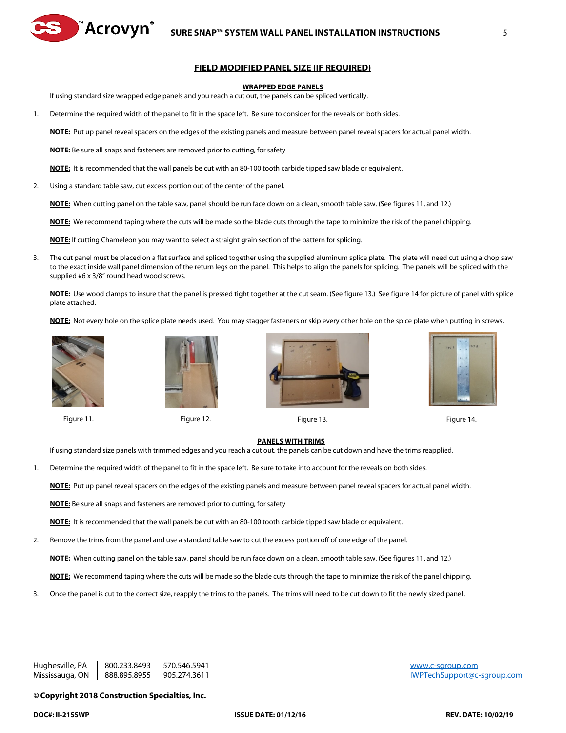

#### **WRAPPED EDGE PANELS**

If using standard size wrapped edge panels and you reach a cut out, the panels can be spliced vertically.

1. Determine the required width of the panel to fit in the space left. Be sure to consider for the reveals on both sides.

**NOTE:** Put up panel reveal spacers on the edges of the existing panels and measure between panel reveal spacers for actual panel width.

**NOTE:** Be sure all snaps and fasteners are removed prior to cutting, for safety

**NOTE:** It is recommended that the wall panels be cut with an 80-100 tooth carbide tipped saw blade or equivalent.

2. Using a standard table saw, cut excess portion out of the center of the panel.

™Acrovyn®

**NOTE:** When cutting panel on the table saw, panel should be run face down on a clean, smooth table saw. (See figures 11. and 12.)

**NOTE:** We recommend taping where the cuts will be made so the blade cuts through the tape to minimize the risk of the panel chipping.

**NOTE:** If cutting Chameleon you may want to select a straight grain section of the pattern for splicing.

3. The cut panel must be placed on a flat surface and spliced together using the supplied aluminum splice plate. The plate will need cut using a chop saw to the exact inside wall panel dimension of the return legs on the panel. This helps to align the panels for splicing. The panels will be spliced with the supplied #6 x 3/8" round head wood screws.

**NOTE:** Use wood clamps to insure that the panel is pressed tight together at the cut seam. (See figure 13.) See figure 14 for picture of panel with splice plate attached.

**NOTE:** Not every hole on the splice plate needs used. You may stagger fasteners or skip every other hole on the spice plate when putting in screws.





Figure 11. Figure 12. Figure 13. Figure 14.





#### **PANELS WITH TRIMS**

If using standard size panels with trimmed edges and you reach a cut out, the panels can be cut down and have the trims reapplied.

1. Determine the required width of the panel to fit in the space left. Be sure to take into account for the reveals on both sides.

**NOTE:** Put up panel reveal spacers on the edges of the existing panels and measure between panel reveal spacers for actual panel width.

**NOTE:** Be sure all snaps and fasteners are removed prior to cutting, for safety

**NOTE:** It is recommended that the wall panels be cut with an 80-100 tooth carbide tipped saw blade or equivalent.

2. Remove the trims from the panel and use a standard table saw to cut the excess portion off of one edge of the panel.

**NOTE:** When cutting panel on the table saw, panel should be run face down on a clean, smooth table saw. (See figures 11. and 12.)

**NOTE:** We recommend taping where the cuts will be made so the blade cuts through the tape to minimize the risk of the panel chipping.

3. Once the panel is cut to the correct size, reapply the trims to the panels. The trims will need to be cut down to fit the newly sized panel.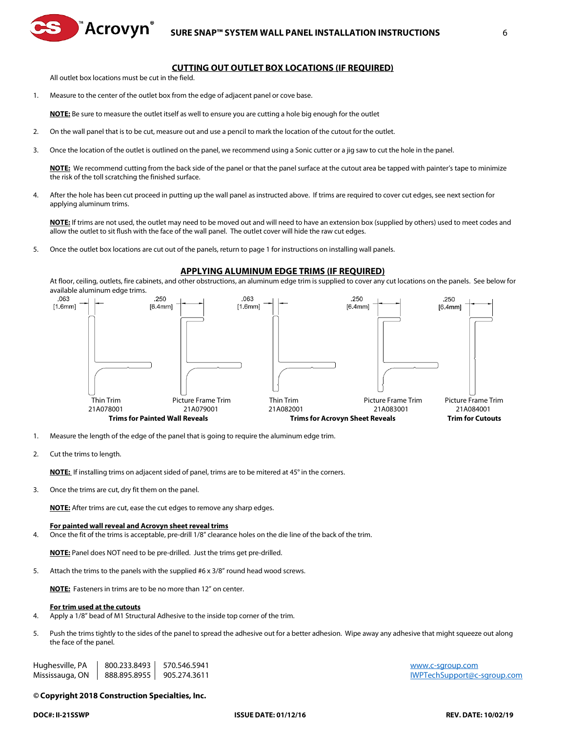

# **CUTTING OUT OUTLET BOX LOCATIONS (IF REQUIRED)**

All outlet box locations must be cut in the field.

໊Acrovynຶ

1. Measure to the center of the outlet box from the edge of adjacent panel or cove base.

**NOTE:** Be sure to measure the outlet itself as well to ensure you are cutting a hole big enough for the outlet

- 2. On the wall panel that is to be cut, measure out and use a pencil to mark the location of the cutout for the outlet.
- 3. Once the location of the outlet is outlined on the panel, we recommend using a Sonic cutter or a jig saw to cut the hole in the panel.

**NOTE:** We recommend cutting from the back side of the panel or that the panel surface at the cutout area be tapped with painter's tape to minimize the risk of the toll scratching the finished surface.

4. After the hole has been cut proceed in putting up the wall panel as instructed above. If trims are required to cover cut edges, see next section for applying aluminum trims.

**NOTE:** If trims are not used, the outlet may need to be moved out and will need to have an extension box (supplied by others) used to meet codes and allow the outlet to sit flush with the face of the wall panel. The outlet cover will hide the raw cut edges.

5. Once the outlet box locations are cut out of the panels, return to page 1 for instructions on installing wall panels.

#### **APPLYING ALUMINUM EDGE TRIMS (IF REQUIRED)**

At floor, ceiling, outlets, fire cabinets, and other obstructions, an aluminum edge trim is supplied to cover any cut locations on the panels. See below for available aluminum edge trims.



- 1. Measure the length of the edge of the panel that is going to require the aluminum edge trim.
- 2. Cut the trims to length.

**NOTE:** If installing trims on adjacent sided of panel, trims are to be mitered at 45° in the corners.

3. Once the trims are cut, dry fit them on the panel.

**NOTE:** After trims are cut, ease the cut edges to remove any sharp edges.

#### **For painted wall reveal and Acrovyn sheet reveal trims**

4. Once the fit of the trims is acceptable, pre-drill 1/8" clearance holes on the die line of the back of the trim.

**NOTE:** Panel does NOT need to be pre-drilled. Just the trims get pre-drilled.

5. Attach the trims to the panels with the supplied #6 x 3/8" round head wood screws.

**NOTE:** Fasteners in trims are to be no more than 12" on center.

#### **For trim used at the cutouts**

- 4. Apply a 1/8" bead of M1 Structural Adhesive to the inside top corner of the trim.
- 5. Push the trims tightly to the sides of the panel to spread the adhesive out for a better adhesion. Wipe away any adhesive that might squeeze out along the face of the panel.

Hughesville, PA  $\parallel$  800.233.8493  $\parallel$  570.546.5941 Mississauga, ON  $|$  888.895.8955 905.274.3611 300 and the state of the state of the MVPTechSupport@c-sgroup.com